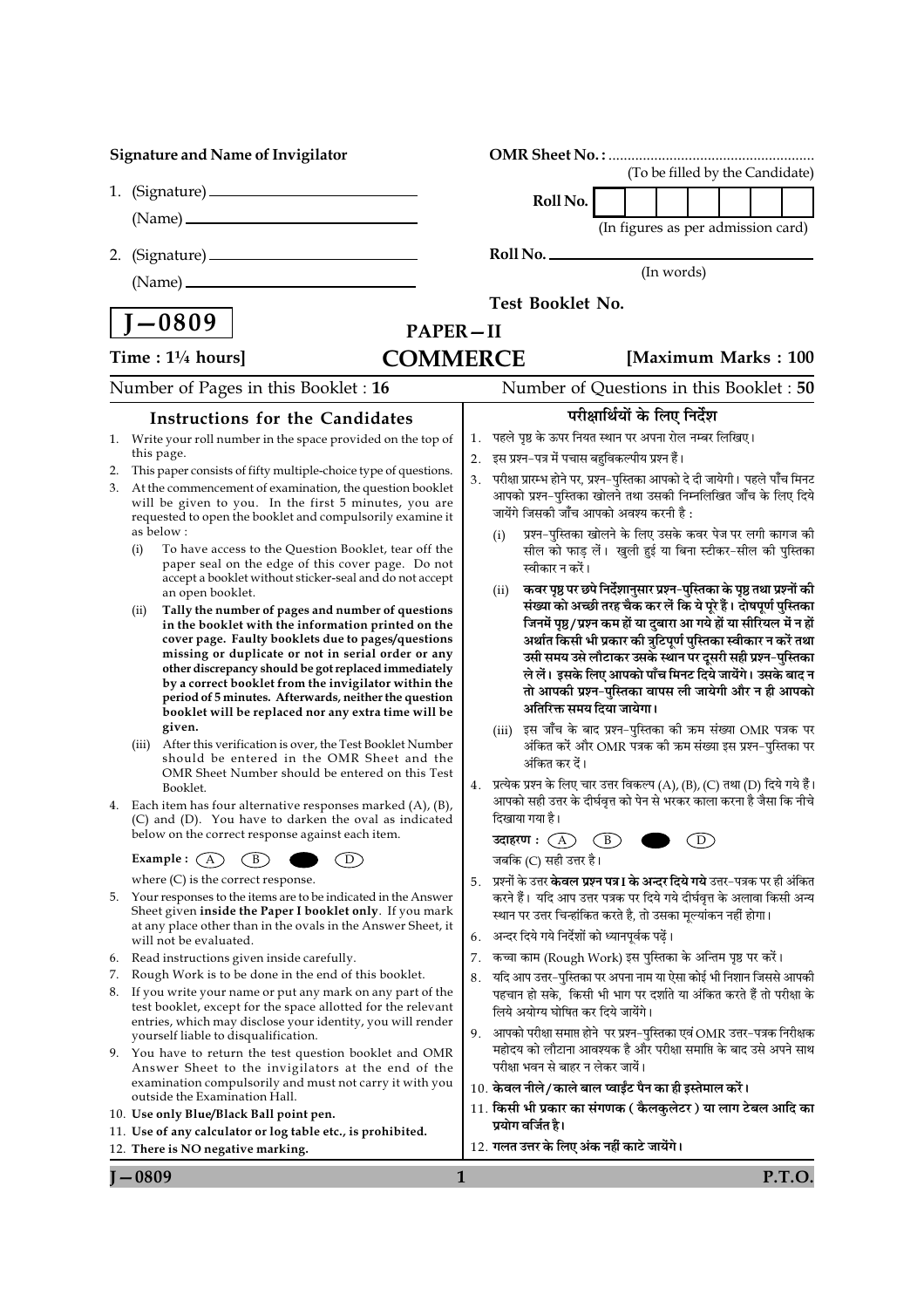|          |                                                         | <b>Signature and Name of Invigilator</b>                                                                                 |                  |                                                                                                                                          |  |  |                                    |  |  |                                 |  |
|----------|---------------------------------------------------------|--------------------------------------------------------------------------------------------------------------------------|------------------|------------------------------------------------------------------------------------------------------------------------------------------|--|--|------------------------------------|--|--|---------------------------------|--|
|          |                                                         |                                                                                                                          |                  |                                                                                                                                          |  |  |                                    |  |  | (To be filled by the Candidate) |  |
|          |                                                         |                                                                                                                          |                  | Roll No.                                                                                                                                 |  |  |                                    |  |  |                                 |  |
|          |                                                         |                                                                                                                          |                  |                                                                                                                                          |  |  | (In figures as per admission card) |  |  |                                 |  |
| 2.       |                                                         |                                                                                                                          | Roll No.         |                                                                                                                                          |  |  |                                    |  |  |                                 |  |
|          |                                                         |                                                                                                                          | (In words)       |                                                                                                                                          |  |  |                                    |  |  |                                 |  |
|          |                                                         |                                                                                                                          | Test Booklet No. |                                                                                                                                          |  |  |                                    |  |  |                                 |  |
|          | $\vert$ J $-0809$                                       | <b>PAPER-II</b>                                                                                                          |                  |                                                                                                                                          |  |  |                                    |  |  |                                 |  |
|          | Time: $1\frac{1}{4}$ hours]                             | <b>COMMERCE</b>                                                                                                          |                  |                                                                                                                                          |  |  |                                    |  |  | [Maximum Marks: 100             |  |
|          |                                                         | Number of Pages in this Booklet: 16                                                                                      |                  | Number of Questions in this Booklet: 50                                                                                                  |  |  |                                    |  |  |                                 |  |
|          |                                                         |                                                                                                                          |                  | परीक्षार्थियों के लिए निर्देश                                                                                                            |  |  |                                    |  |  |                                 |  |
|          |                                                         | <b>Instructions for the Candidates</b>                                                                                   | 1.               | पहले पृष्ठ के ऊपर नियत स्थान पर अपना रोल नम्बर लिखिए।                                                                                    |  |  |                                    |  |  |                                 |  |
| 1.       | this page.                                              | Write your roll number in the space provided on the top of                                                               | 2.               | इस प्रश्न-पत्र में पचास बहुविकल्पीय प्रश्न हैं।                                                                                          |  |  |                                    |  |  |                                 |  |
| 2.       |                                                         | This paper consists of fifty multiple-choice type of questions.                                                          | 3.               | परीक्षा प्रारम्भ होने पर, प्रश्न-पुस्तिका आपको दे दी जायेगी। पहले पाँच मिनट                                                              |  |  |                                    |  |  |                                 |  |
| 3.       |                                                         | At the commencement of examination, the question booklet<br>will be given to you. In the first 5 minutes, you are        |                  | आपको प्रश्न-पुस्तिका खोलने तथा उसकी निम्नलिखित जाँच के लिए दिये                                                                          |  |  |                                    |  |  |                                 |  |
|          | as below:                                               | requested to open the booklet and compulsorily examine it                                                                |                  | जायेंगे जिसकी जाँच आपको अवश्य करनी है :                                                                                                  |  |  |                                    |  |  |                                 |  |
|          | (i)                                                     | To have access to the Question Booklet, tear off the                                                                     |                  | प्रश्न-पुस्तिका खोलने के लिए उसके कवर पेज पर लगी कागज की<br>(i)<br>सील को फाड़ लें। खुली हुई या बिना स्टीकर-सील की पुस्तिका              |  |  |                                    |  |  |                                 |  |
|          |                                                         | paper seal on the edge of this cover page. Do not                                                                        |                  | स्वीकार न करें।                                                                                                                          |  |  |                                    |  |  |                                 |  |
|          | an open booklet.                                        | accept a booklet without sticker-seal and do not accept                                                                  |                  | कवर पृष्ठ पर छपे निर्देशानुसार प्रश्न-पुस्तिका के पृष्ठ तथा प्रश्नों की<br>(ii)                                                          |  |  |                                    |  |  |                                 |  |
|          | (ii)                                                    | Tally the number of pages and number of questions                                                                        |                  | संख्या को अच्छी तरह चैक कर लें कि ये पूरे हैं। दोषपूर्ण पुस्तिका                                                                         |  |  |                                    |  |  |                                 |  |
|          |                                                         | in the booklet with the information printed on the<br>cover page. Faulty booklets due to pages/questions                 |                  | जिनमें पृष्ठ/प्रश्न कम हों या दुबारा आ गये हों या सीरियल में न हों<br>अर्थात किसी भी प्रकार की त्रुटिपूर्ण पुस्तिका स्वीकार न करें तथा   |  |  |                                    |  |  |                                 |  |
|          |                                                         | missing or duplicate or not in serial order or any<br>other discrepancy should be got replaced immediately               |                  | उसी समय उसे लौटाकर उसके स्थान पर दूसरी सही प्रश्न-पुस्तिका                                                                               |  |  |                                    |  |  |                                 |  |
|          |                                                         | by a correct booklet from the invigilator within the                                                                     |                  | ले लें। इसके लिए आपको पाँच मिनट दिये जायेंगे। उसके बाद न<br>तो आपकी प्रश्न-पुस्तिका वापस ली जायेगी और न ही आपको                          |  |  |                                    |  |  |                                 |  |
|          |                                                         | period of 5 minutes. Afterwards, neither the question<br>booklet will be replaced nor any extra time will be             |                  | अतिरिक्त समय दिया जायेगा।                                                                                                                |  |  |                                    |  |  |                                 |  |
|          | given.                                                  |                                                                                                                          |                  | इस जाँच के बाद प्रश्न-पुस्तिका की ऋम संख्या OMR पत्रक पर<br>(iii)                                                                        |  |  |                                    |  |  |                                 |  |
|          | (iii)                                                   | After this verification is over, the Test Booklet Number<br>should be entered in the OMR Sheet and the                   |                  | अंकित करें और OMR पत्रक की क्रम संख्या इस प्रश्न-पुस्तिका पर<br>अंकित कर दें।                                                            |  |  |                                    |  |  |                                 |  |
|          |                                                         | OMR Sheet Number should be entered on this Test                                                                          |                  | 4. प्रत्येक प्रश्न के लिए चार उत्तर विकल्प (A), (B), (C) तथा (D) दिये गये हैं।                                                           |  |  |                                    |  |  |                                 |  |
|          | Booklet.                                                | 4. Each item has four alternative responses marked $(A)$ , $(B)$ ,                                                       |                  | आपको सही उत्तर के दीर्घवृत्त को पेन से भरकर काला करना है जैसा कि नीचे                                                                    |  |  |                                    |  |  |                                 |  |
|          |                                                         | (C) and (D). You have to darken the oval as indicated                                                                    |                  | दिखाया गया है।                                                                                                                           |  |  |                                    |  |  |                                 |  |
|          |                                                         | below on the correct response against each item.                                                                         |                  | उदाहरण $:$ $\bigoplus$ $\bigoplus$                                                                                                       |  |  | $\bigcirc$                         |  |  |                                 |  |
|          | Example : $(A)$<br>where $(C)$ is the correct response. | $\mathbf{B}$<br>D)                                                                                                       | 5.               | जबकि (C) सही उत्तर है।<br>प्रश्नों के उत्तर <b>केवल प्रश्न पत्र I के अन्दर दिये गये</b> उत्तर-पत्रक पर ही अंकित                          |  |  |                                    |  |  |                                 |  |
| 5.       |                                                         | Your responses to the items are to be indicated in the Answer                                                            |                  | करने हैं। यदि आप उत्तर पत्रक पर दिये गये दीर्घवृत्त के अलावा किसी अन्य                                                                   |  |  |                                    |  |  |                                 |  |
|          |                                                         | Sheet given inside the Paper I booklet only. If you mark<br>at any place other than in the ovals in the Answer Sheet, it |                  | स्थान पर उत्तर चिन्हांकित करते है, तो उसका मूल्यांकन नहीं होगा।                                                                          |  |  |                                    |  |  |                                 |  |
|          | will not be evaluated.                                  |                                                                                                                          | 6.               | अन्दर दिये गये निर्देशों को ध्यानपूर्वक पढ़ें।                                                                                           |  |  |                                    |  |  |                                 |  |
| 6.       |                                                         | Read instructions given inside carefully.                                                                                | 7.               | कच्चा काम (Rough Work) इस पुस्तिका के अन्तिम पृष्ठ पर करें।                                                                              |  |  |                                    |  |  |                                 |  |
| 7.<br>8. |                                                         | Rough Work is to be done in the end of this booklet.<br>If you write your name or put any mark on any part of the        |                  | यदि आप उत्तर-पुस्तिका पर अपना नाम या ऐसा कोई भी निशान जिससे आपकी<br>पहचान हो सके, किसी भी भाग पर दर्शाते या अंकित करते हैं तो परीक्षा के |  |  |                                    |  |  |                                 |  |
|          |                                                         | test booklet, except for the space allotted for the relevant                                                             |                  | लिये अयोग्य घोषित कर दिये जायेंगे।                                                                                                       |  |  |                                    |  |  |                                 |  |
|          | yourself liable to disqualification.                    | entries, which may disclose your identity, you will render                                                               |                  | 9. आपको परीक्षा समाप्त होने पर प्रश्न-पुस्तिका एवं OMR उत्तर-पत्रक निरीक्षक                                                              |  |  |                                    |  |  |                                 |  |
| 9.       |                                                         | You have to return the test question booklet and OMR                                                                     |                  | महोदय को लौटाना आवश्यक है और परीक्षा समाप्ति के बाद उसे अपने साथ<br>परीक्षा भवन से बाहर न लेकर जायें।                                    |  |  |                                    |  |  |                                 |  |
|          |                                                         | Answer Sheet to the invigilators at the end of the<br>examination compulsorily and must not carry it with you            |                  | 10. केवल नीले/काले बाल प्वाईंट पैन का ही इस्तेमाल करें।                                                                                  |  |  |                                    |  |  |                                 |  |
|          | outside the Examination Hall.                           |                                                                                                                          |                  | 11. किसी भी प्रकार का संगणक ( कैलकुलेटर ) या लाग टेबल आदि का                                                                             |  |  |                                    |  |  |                                 |  |
|          |                                                         | 10. Use only Blue/Black Ball point pen.<br>11. Use of any calculator or log table etc., is prohibited.                   |                  | प्रयोग वर्जित है।                                                                                                                        |  |  |                                    |  |  |                                 |  |
|          | 12. There is NO negative marking.                       |                                                                                                                          |                  | 12. गलत उत्तर के लिए अंक नहीं काटे जायेंगे।                                                                                              |  |  |                                    |  |  |                                 |  |
|          | $-0809$                                                 | 1                                                                                                                        |                  |                                                                                                                                          |  |  |                                    |  |  | P.T.O.                          |  |

 $J - 0809$ 

**P.T.O.**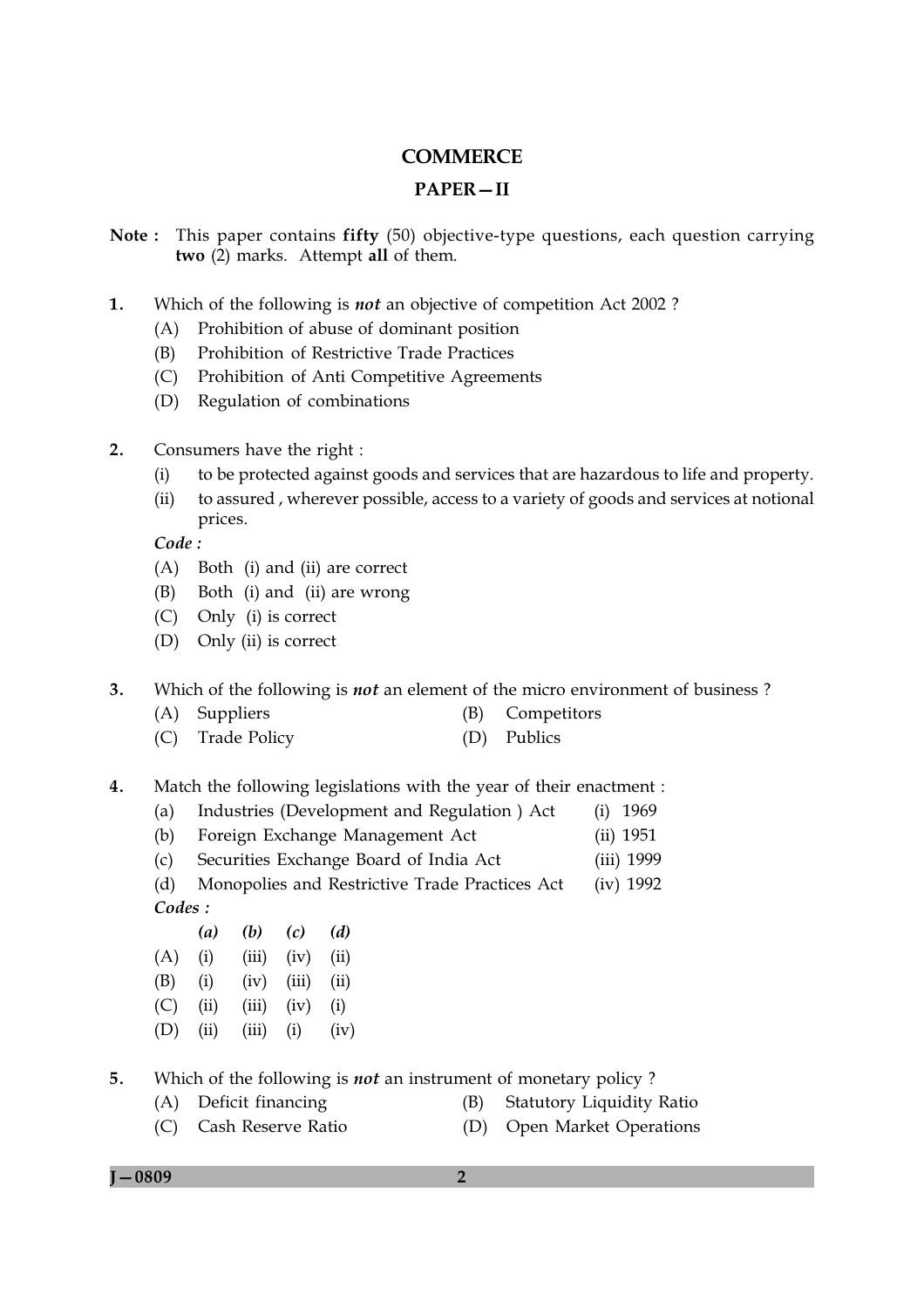# **COMMERCE**

## **PAPER-II**

- Note: This paper contains fifty (50) objective-type questions, each question carrying two (2) marks. Attempt all of them.
- $1.$ Which of the following is *not* an objective of competition Act 2002?
	- (A) Prohibition of abuse of dominant position
	- Prohibition of Restrictive Trade Practices (B)
	- $(C)$ Prohibition of Anti Competitive Agreements
	- (D) Regulation of combinations
- $2.$ Consumers have the right:
	- to be protected against goods and services that are hazardous to life and property.  $(i)$
	- $(ii)$ to assured, wherever possible, access to a variety of goods and services at notional prices.

Code:

- (A) Both (i) and (ii) are correct
- $(B)$ Both (i) and (ii) are wrong
- $(C)$ Only (i) is correct
- (D) Only (ii) is correct
- $3.$ Which of the following is *not* an element of the micro environment of business?
	- (A) Suppliers Competitors (B)
	- $(C)$ **Trade Policy** (D) Publics
- $4.$ Match the following legislations with the year of their enactment :
	- $(a)$ Industries (Development and Regulation) Act  $(i)$  1969
	- $(b)$ Foreign Exchange Management Act  $(ii) 1951$
	- Securities Exchange Board of India Act  $(c)$ (iii) 1999
	- $(d)$ Monopolies and Restrictive Trade Practices Act  $(iv) 1992$ Codes:
	- $(a)$  $(b)$  $(c)$  $(d)$  $(A)$  $(i)$  $(iii)$   $(iv)$   $(ii)$  $(B)$  $(i)$  $(iii)$   $(ii)$  $(iv)$  $(C)$  $(ii)$  $(iii)$  $(iv)$  $(i)$
	- $(D)$  $(ii)$  $(iii)$  $(i)$  $(iv)$
- $5.$ Which of the following is *not* an instrument of monetary policy?
	- (A) Deficit financing
- (B) Statutory Liquidity Ratio
- (C) Cash Reserve Ratio (D) Open Market Operations

 $I - 0809$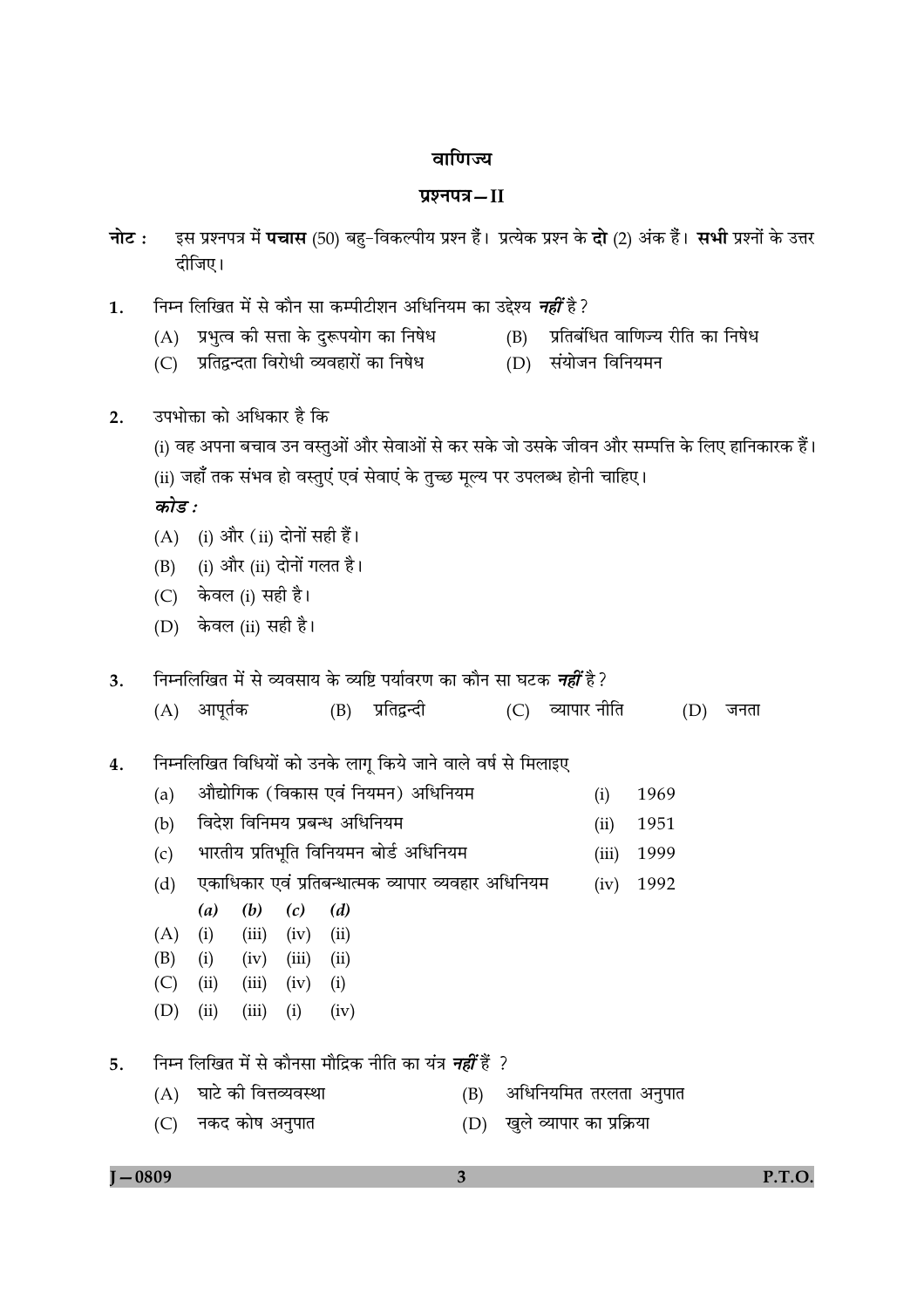## वाणिज्य

## प्रश्नपत्र-II

- इस प्रश्नपत्र में **पचास** (50) बहु-विकल्पीय प्रश्न हैं। प्रत्येक प्रश्न के **दो** (2) अंक हैं। **सभी** प्रश्नों के उत्तर नोट : दीजिए।
- निम्न लिखित में से कौन सा कम्पीटीशन अधिनियम का उद्देश्य *नहीं* है ?  $\mathbf{1}$ .
	- (A) प्रभृत्व की सत्ता के दुरूपयोग का निषेध
- (B) प्रतिबंधित वाणिज्य रीति का निषेध
- (C) प्रतिद्वन्दता विरोधी व्यवहारों का निषेध
- (D) संयोजन विनियमन

- उपभोक्ता को अधिकार है कि  $2.$ 
	- (i) वह अपना बचाव उन वस्तुओं और सेवाओं से कर सके जो उसके जीवन और सम्पत्ति के लिए हानिकारक हैं।
	- (ii) जहाँ तक संभव हो वस्तुएं एवं सेवाएं के तुच्छ मूल्य पर उपलब्ध होनी चाहिए।

कोड:

- (A) (i) और (ii) दोनों सही हैं।
- (i) और (ii) दोनों गलत है। (B)
- $(C)$  केवल (i) सही है।
- (D) केवल (ii) सही है।
- निम्नलिखित में से व्यवसाय के व्यष्टि पर्यावरण का कौन सा घटक *नहीं* है?  $\overline{3}$ .
	- (A) आपूर्तक (B) प्रतिद्वन्दी (C) व्यापार नीति  $(D)$  जनता
- निम्नलिखित विधियों को उनके लागू किये जाने वाले वर्ष से मिलाइए  $\overline{4}$ .
	- औद्योगिक (विकास एवं नियमन) अधिनियम  $(a)$ 1969  $(i)$
	- विदेश विनिमय प्रबन्ध अधिनियम  $(b)$  $(ii)$ 1951
	- भारतीय प्रतिभूति विनियमन बोर्ड अधिनियम  $(c)$  $(iii)$ 1999
	- एकाधिकार एवं प्रतिबन्धात्मक व्यापार व्यवहार अधिनियम  $(iv)$  1992  $(d)$ 
		- $(a)$  $(b)$  $(c)$  $(d)$
	- $(iii)$   $(iv)$  $(ii)$  $(A)$  $(i)$
	- $(ii)$  $(B)$  $(i)$  $(iv)$   $(iii)$
	- $(C)$  $(ii)$  $(iii)$  $(iv)$  $(i)$
	- $(D)$  $(ii)$  $(iii)$  $(i)$  $(iv)$

(A) घाटे की वित्तव्यवस्था

- निम्न लिखित में से कौनसा मौद्रिक नीति का यंत्र *नहीं* हैं ?  $5<sub>1</sub>$ 
	- (B) अधिनियमित तरलता अनुपात
	- (C) नकद कोष अनुपात (D) खुले व्यापार का प्रक्रिया

```
I - 0809
```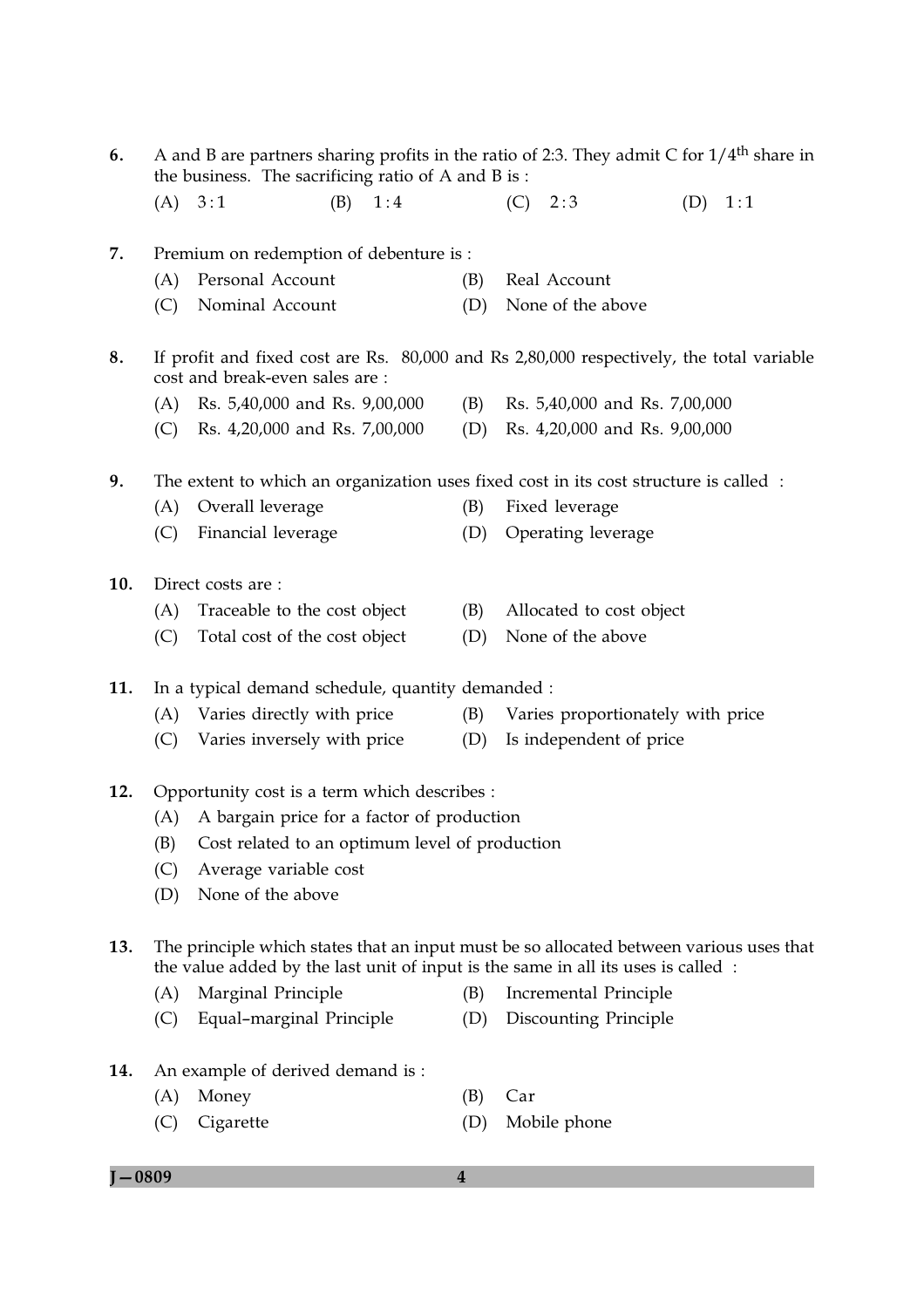- A and B are partners sharing profits in the ratio of 2:3. They admit C for  $1/4<sup>th</sup>$  share in 6. the business. The sacrificing ratio of A and B is:  $(B) \quad 1:4$  $(A) 3:1$  $(C) 2:3$  $(D) 1:1$
- Premium on redemption of debenture is: 7.
	- (A) Personal Account (B) Real Account
	- (C) Nominal Account (D) None of the above
- 8. If profit and fixed cost are Rs. 80,000 and Rs 2,80,000 respectively, the total variable cost and break-even sales are:
	- (A) Rs. 5.40,000 and Rs. 9.00,000 (B) Rs. 5,40,000 and Rs. 7,00,000
	- (C) Rs. 4,20,000 and Rs. 7,00,000 (D) Rs. 4,20,000 and Rs. 9,00,000
- 9. The extent to which an organization uses fixed cost in its cost structure is called :
	- (A) Overall leverage Fixed leverage (B)
	- (C) Financial leverage (D) Operating leverage
- $10.$ Direct costs are:
	- (A) Traceable to the cost object (B) Allocated to cost object
	- (C) Total cost of the cost object (D) None of the above
- In a typical demand schedule, quantity demanded : 11.
	- (A) Varies directly with price (B) Varies proportionately with price
	- (C) Varies inversely with price (D) Is independent of price
- 12. Opportunity cost is a term which describes :
	- (A) A bargain price for a factor of production
	- Cost related to an optimum level of production (B)
	- (C) Average variable cost
	- (D) None of the above
- The principle which states that an input must be so allocated between various uses that 13. the value added by the last unit of input is the same in all its uses is called :
	- (A) Marginal Principle **Incremental Principle** (B)
	- (C) Equal-marginal Principle (D) Discounting Principle
- 14. An example of derived demand is:
	- (A) Money
	- (C) Cigarette (D) Mobile phone

 $\overline{\mathbf{4}}$ 

- 
- 
- 
- 
- 
- 

 $(B)$  Car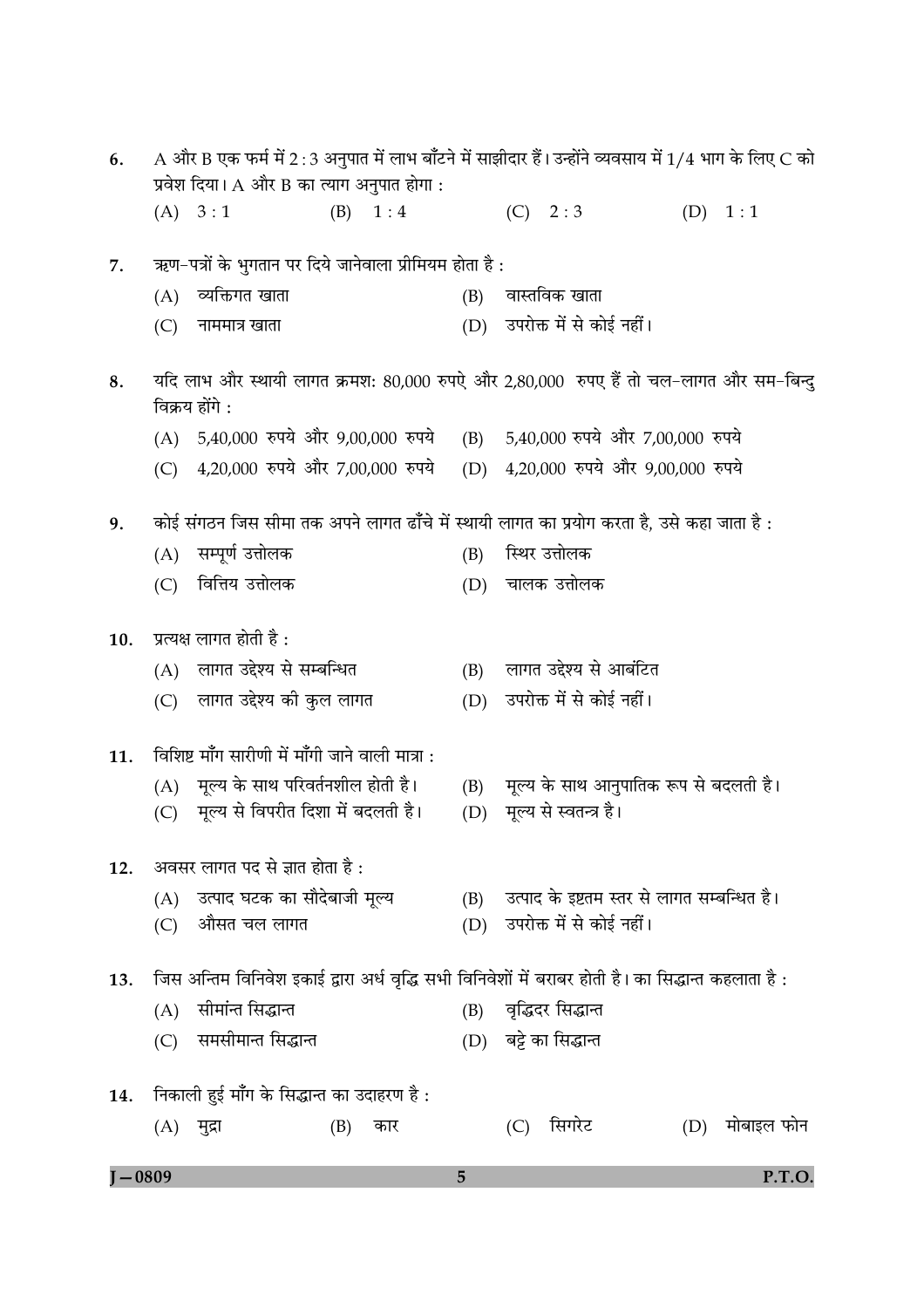| $J - 0809$ |                                           |                                                                                                           |     |                 | 5   |     |                          |                                             |  |                | P.T.O. |
|------------|-------------------------------------------|-----------------------------------------------------------------------------------------------------------|-----|-----------------|-----|-----|--------------------------|---------------------------------------------|--|----------------|--------|
|            |                                           | $(A)$ मुद्रा                                                                                              | (B) | कार             |     | (C) | सिगरेट                   |                                             |  | (D) मोबाइल फोन |        |
| 14.        |                                           | निकाली हुई माँग के सिद्धान्त का उदाहरण है :                                                               |     |                 |     |     |                          |                                             |  |                |        |
|            | (C)                                       | समसीमान्त सिद्धान्त                                                                                       |     |                 |     |     | (D) बट्टे का सिद्धान्त   |                                             |  |                |        |
|            | (A)                                       | सीमांन्त सिद्धान्त                                                                                        |     |                 | (B) |     | वृद्धिदर सिद्धान्त       |                                             |  |                |        |
| 13.        |                                           | जिस अन्तिम विनिवेश इकाई द्वारा अर्ध वृद्धि सभी विनिवेशों में बराबर होती है। का सिद्धान्त कहलाता है :      |     |                 |     |     |                          |                                             |  |                |        |
|            |                                           |                                                                                                           |     |                 |     |     |                          |                                             |  |                |        |
|            | (C)                                       | औसत चल लागत                                                                                               |     |                 | (D) |     | उपरोक्त में से कोई नहीं। |                                             |  |                |        |
|            |                                           | (A) उत्पाद घटक का सौदेबाजी मूल्य                                                                          |     |                 | (B) |     |                          | उत्पाद के इष्टतम स्तर से लागत सम्बन्धित है। |  |                |        |
|            |                                           | 12. अवसर लागत पद से ज्ञात होता है:                                                                        |     |                 |     |     |                          |                                             |  |                |        |
|            | (C)                                       | मूल्य से विपरीत दिशा में बदलती है।                                                                        |     |                 | (D) |     | मूल्य से स्वतन्त्र है।   |                                             |  |                |        |
|            |                                           | (A) मूल्य के साथ परिवर्तनशील होती है।                                                                     |     |                 | (B) |     |                          | मूल्य के साथ आनुपातिक रूप से बदलती है।      |  |                |        |
| 11.        |                                           | विशिष्ट माँग सारीणी में माँगी जाने वाली मात्रा :                                                          |     |                 |     |     |                          |                                             |  |                |        |
|            |                                           | (C) लागत उद्देश्य की कुल लागत                                                                             |     |                 | (D) |     | उपरोक्त में से कोई नहीं। |                                             |  |                |        |
|            |                                           | (A) लागत उद्देश्य से सम्बन्धित                                                                            |     |                 | (B) |     | लागत उद्देश्य से आबंटित  |                                             |  |                |        |
| 10.        |                                           | प्रत्यक्ष लागत होती है :                                                                                  |     |                 |     |     |                          |                                             |  |                |        |
|            |                                           |                                                                                                           |     |                 |     |     |                          |                                             |  |                |        |
|            | (C)                                       | वित्तिय उत्तोलक                                                                                           |     |                 | (D) |     | चालक उत्तोलक             |                                             |  |                |        |
|            | (A)                                       | सम्पूर्ण उत्तोलक                                                                                          |     |                 | (B) |     | स्थिर उत्तोलक            |                                             |  |                |        |
| 9.         |                                           | कोई संगठन जिस सीमा तक अपने लागत ढाँचे में स्थायी लागत का प्रयोग करता है, उसे कहा जाता है:                 |     |                 |     |     |                          |                                             |  |                |        |
|            |                                           | (C) 4,20,000 रुपये और 7,00,000 रुपये                                                                      |     |                 | (D) |     |                          | 4,20,000 रुपये और 9,00,000 रुपये            |  |                |        |
|            |                                           | $(A)$ 5,40,000 रुपये और 9,00,000 रुपये                                                                    |     |                 | (B) |     |                          | 5,40,000 रुपये और 7,00,000 रुपये            |  |                |        |
| 8.         |                                           | यदि लाभ और स्थायी लागत क्रमश: 80,000 रुपऐ और 2,80,000  रुपए हैं तो चल-लागत और सम-बिन्दु<br>विक्रय होंगे : |     |                 |     |     |                          |                                             |  |                |        |
|            |                                           |                                                                                                           |     |                 |     |     |                          |                                             |  |                |        |
|            | (C)                                       | नाममात्र खाता                                                                                             |     |                 | (D) |     | उपरोक्त में से कोई नहीं। |                                             |  |                |        |
|            | (A)                                       | व्यक्तिगत खाता                                                                                            |     |                 | (B) |     | वास्तविक खाता            |                                             |  |                |        |
| 7.         |                                           | ऋण-पत्रों के भुगतान पर दिये जानेवाला प्रीमियम होता है :                                                   |     |                 |     |     |                          |                                             |  |                |        |
|            |                                           | (A) 3:1                                                                                                   |     | $(B) \quad 1:4$ |     |     | (C) 2:3                  |                                             |  | (D) 1:1        |        |
|            | प्रवेश दिया। A और B का त्याग अनुपात होगा: |                                                                                                           |     |                 |     |     |                          |                                             |  |                |        |
| 6.         |                                           | A और B एक फर्म में 2 : 3 अनुपात में लाभ बाँटने में साझीदार हैं। उन्होंने व्यवसाय में 1/4 भाग के लिए C को  |     |                 |     |     |                          |                                             |  |                |        |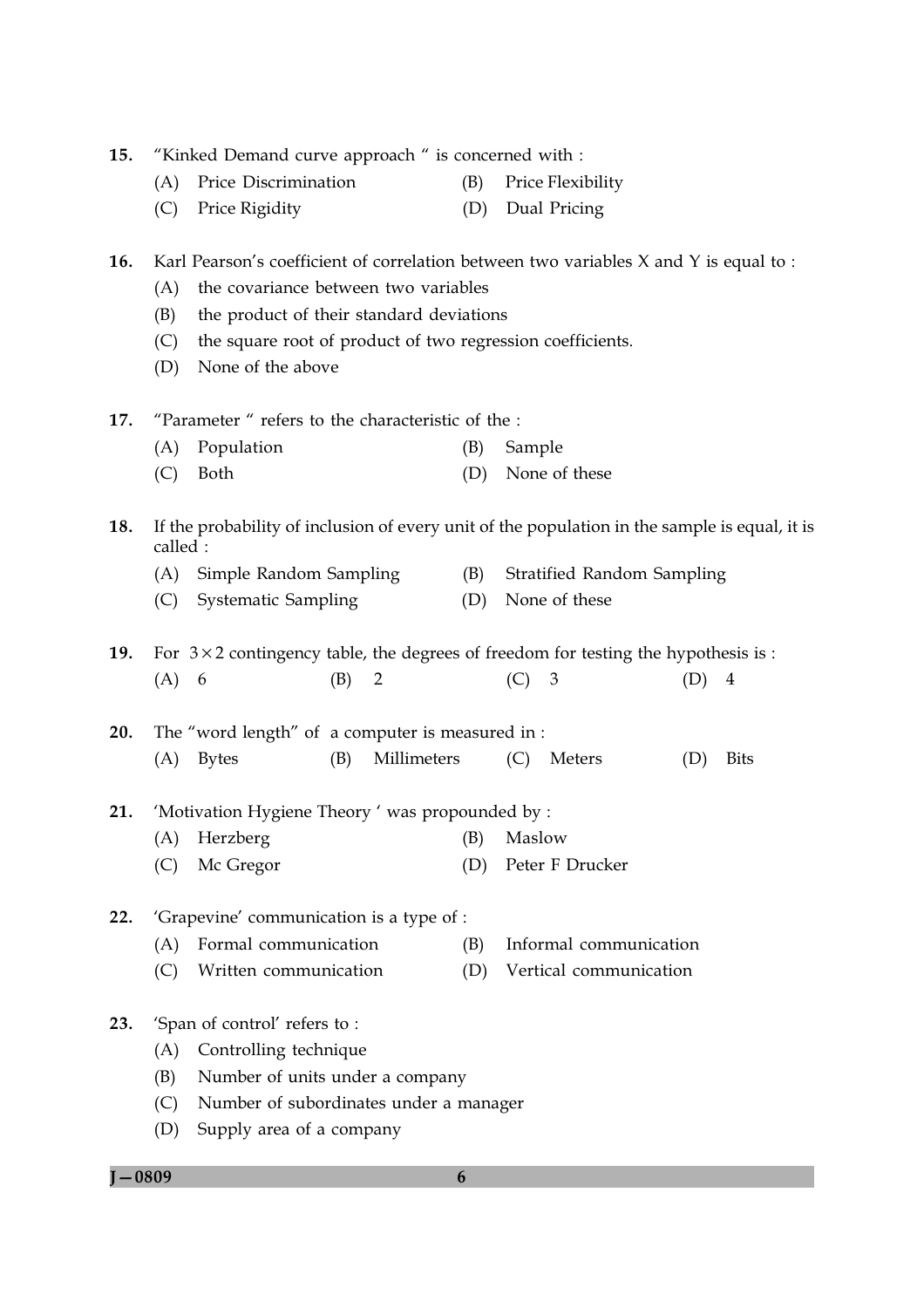| 15. | "Kinked Demand curve approach " is concerned with :                                            |                                                                                               |     |                |     |        |                                   |     |                |
|-----|------------------------------------------------------------------------------------------------|-----------------------------------------------------------------------------------------------|-----|----------------|-----|--------|-----------------------------------|-----|----------------|
|     | (A)                                                                                            | Price Discrimination                                                                          |     |                | (B) |        | Price Flexibility                 |     |                |
|     | (C)                                                                                            | Price Rigidity                                                                                |     |                | (D) |        | Dual Pricing                      |     |                |
| 16. |                                                                                                | Karl Pearson's coefficient of correlation between two variables X and Y is equal to :         |     |                |     |        |                                   |     |                |
|     | the covariance between two variables<br>(A)<br>the product of their standard deviations<br>(B) |                                                                                               |     |                |     |        |                                   |     |                |
|     | (C)                                                                                            | the square root of product of two regression coefficients.                                    |     |                |     |        |                                   |     |                |
|     | (D)                                                                                            | None of the above                                                                             |     |                |     |        |                                   |     |                |
|     |                                                                                                |                                                                                               |     |                |     |        |                                   |     |                |
| 17. |                                                                                                | "Parameter" refers to the characteristic of the :                                             |     |                |     |        |                                   |     |                |
|     | (A)                                                                                            | Population                                                                                    |     |                | (B) | Sample |                                   |     |                |
|     | (C)                                                                                            | Both                                                                                          |     |                | (D) |        | None of these                     |     |                |
| 18. | called :                                                                                       | If the probability of inclusion of every unit of the population in the sample is equal, it is |     |                |     |        |                                   |     |                |
|     | (A)                                                                                            | Simple Random Sampling                                                                        |     |                | (B) |        | <b>Stratified Random Sampling</b> |     |                |
|     | (C)                                                                                            | <b>Systematic Sampling</b>                                                                    |     |                | (D) |        | None of these                     |     |                |
|     |                                                                                                |                                                                                               |     |                |     |        |                                   |     |                |
| 19. |                                                                                                | For $3 \times 2$ contingency table, the degrees of freedom for testing the hypothesis is :    |     |                |     |        |                                   |     |                |
|     | $(A)$ 6                                                                                        |                                                                                               | (B) | $\overline{2}$ |     | (C)    | $\mathfrak{Z}$                    | (D) | $\overline{4}$ |
| 20. |                                                                                                | The "word length" of a computer is measured in :                                              |     |                |     |        |                                   |     |                |
|     | (A)                                                                                            | <b>Bytes</b>                                                                                  | (B) | Millimeters    |     | (C)    | Meters                            | (D) | <b>Bits</b>    |
|     |                                                                                                |                                                                                               |     |                |     |        |                                   |     |                |
| 21. |                                                                                                | 'Motivation Hygiene Theory ' was propounded by :                                              |     |                |     |        |                                   |     |                |
|     |                                                                                                | (A) Herzberg (B) Maslow                                                                       |     |                |     |        |                                   |     |                |
|     | (C)                                                                                            | Mc Gregor                                                                                     |     |                | (D) |        | Peter F Drucker                   |     |                |
| 22. |                                                                                                | 'Grapevine' communication is a type of :                                                      |     |                |     |        |                                   |     |                |
|     | (A)                                                                                            | Formal communication                                                                          |     |                | (B) |        | Informal communication            |     |                |
|     | (C)                                                                                            | Written communication                                                                         |     |                | (D) |        | Vertical communication            |     |                |
|     |                                                                                                |                                                                                               |     |                |     |        |                                   |     |                |
| 23. |                                                                                                | 'Span of control' refers to:                                                                  |     |                |     |        |                                   |     |                |
|     | (A)                                                                                            | Controlling technique                                                                         |     |                |     |        |                                   |     |                |
|     | (B)                                                                                            | Number of units under a company                                                               |     |                |     |        |                                   |     |                |
|     | (C)                                                                                            | Number of subordinates under a manager                                                        |     |                |     |        |                                   |     |                |
|     | (D)                                                                                            | Supply area of a company                                                                      |     |                |     |        |                                   |     |                |

 $J - 0809$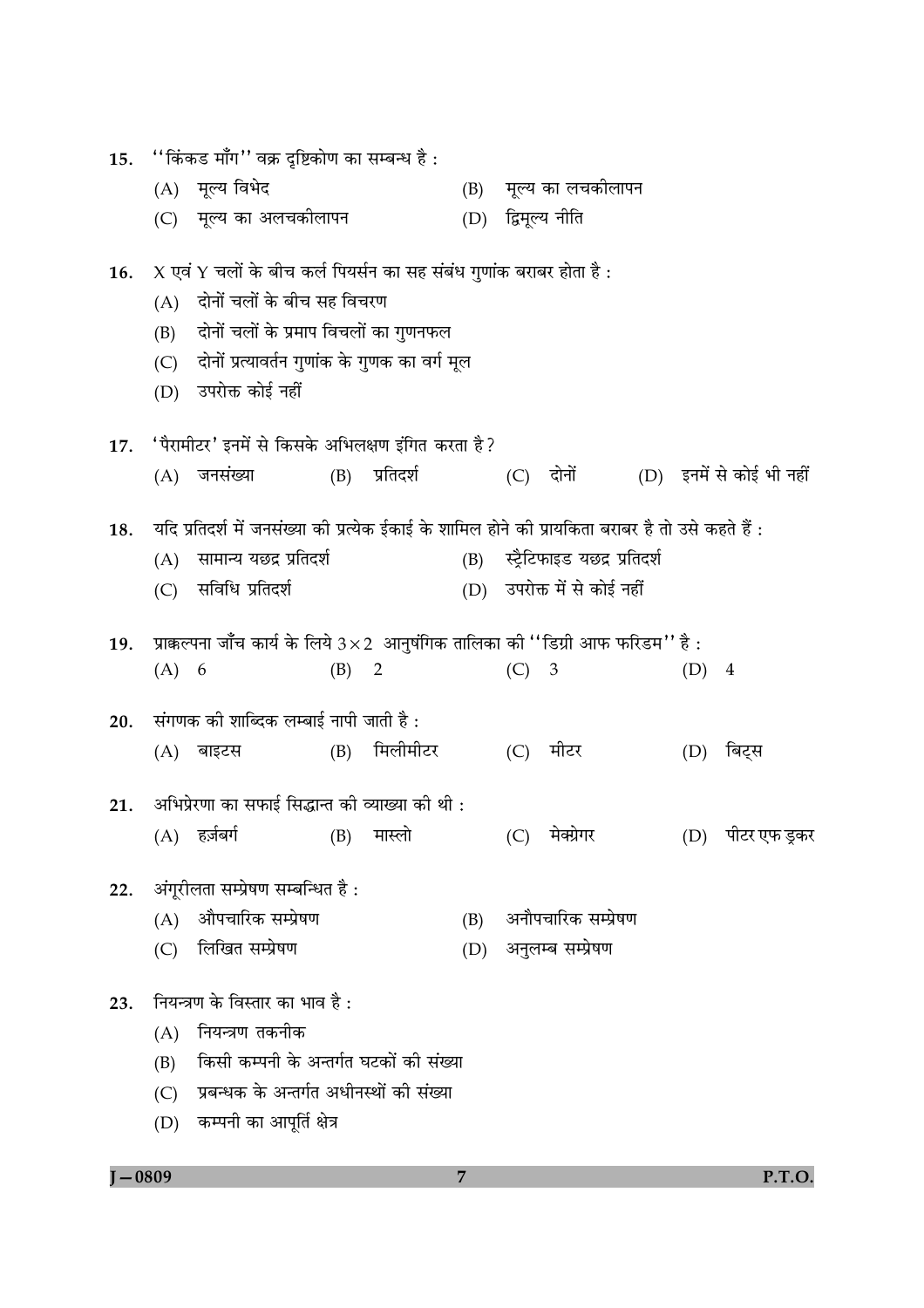| 15. |         | ''किंकड माँग'' वक्र दृष्टिकोण का सम्बन्ध है :                                                     |     |                |     |         |                                  |         |                          |
|-----|---------|---------------------------------------------------------------------------------------------------|-----|----------------|-----|---------|----------------------------------|---------|--------------------------|
|     |         | (A) मूल्य विभेद                                                                                   |     |                | (B) |         | मूल्य का लचकीलापन                |         |                          |
|     |         | (C) मूल्य का अलचकीलापन                                                                            |     |                | (D) |         | द्विमूल्य नीति                   |         |                          |
| 16. |         | X एवं Y चलों के बीच कर्ल पियर्सन का सह संबंध गुणांक बराबर होता है :                               |     |                |     |         |                                  |         |                          |
|     | (A)     | दोनों चलों के बीच सह विचरण                                                                        |     |                |     |         |                                  |         |                          |
|     | (B)     | दोनों चलों के प्रमाप विचलों का गुणनफल                                                             |     |                |     |         |                                  |         |                          |
|     | (C)     | दोनों प्रत्यावर्तन गुणांक के गुणक का वर्ग मूल                                                     |     |                |     |         |                                  |         |                          |
|     | (D)     | उपरोक्त कोई नहीं                                                                                  |     |                |     |         |                                  |         |                          |
| 17. |         | 'पैरामीटर' इनमें से किसके अभिलक्षण इंगित करता है?                                                 |     |                |     |         |                                  |         |                          |
|     | (A)     | जनसंख्या                                                                                          |     | (B) प्रतिदर्श  |     |         | (C) दोनों                        |         | (D) इनमें से कोई भी नहीं |
| 18. |         | यदि प्रतिदर्श में जनसंख्या की प्रत्येक ईकाई के शामिल होने की प्रायकिता बराबर है तो उसे कहते हैं : |     |                |     |         |                                  |         |                          |
|     | (A)     | सामान्य यछद्र प्रतिदर्श                                                                           |     |                |     |         | (B) स्ट्रैटिफाइड यछद्र प्रतिदर्श |         |                          |
|     | (C)     | सविधि प्रतिदर्श                                                                                   |     |                |     |         | (D) उपरोक्त में से कोई नहीं      |         |                          |
| 19. |         | प्राक्कल्पना जाँच कार्य के लिये 3×2 आनुषंगिक तालिका की "डिग्री आफ फरिडम" है:                      |     |                |     |         |                                  |         |                          |
|     | $(A)$ 6 |                                                                                                   | (B) | $\overline{2}$ |     | $(C)$ 3 |                                  | $(D)$ 4 |                          |
| 20. |         | संगणक को शाब्दिक लम्बाई नापी जाती है :                                                            |     |                |     |         |                                  |         |                          |
|     |         | (A) बाइटस                                                                                         | (B) | मिलीमीटर       |     | (C)     | मीटर                             | (D)     | बिट्स                    |
| 21. |         | अभिप्रेरणा का सफाई सिद्धान्त की व्याख्या की थी :                                                  |     |                |     |         |                                  |         |                          |
|     |         | (A) हर्ज़बर्ग                                                                                     | (B) | मास्लो         |     | (C)     | मेक्ग्रेगर                       |         | (D) पीटर एफ ड्रकर        |
| 22. |         | अंगूरीलता सम्प्रेषण सम्बन्धित है :                                                                |     |                |     |         |                                  |         |                          |
|     | (A)     | औपचारिक सम्प्रेषण                                                                                 |     |                | (B) |         | अनौपचारिक सम्प्रेषण              |         |                          |
|     | (C)     | लिखित सम्प्रेषण                                                                                   |     |                | (D) |         | अनुलम्ब सम्प्रेषण                |         |                          |
| 23. |         | नियन्त्रण के विस्तार का भाव है :                                                                  |     |                |     |         |                                  |         |                          |
|     | (A)     | नियन्त्रण तकनीक                                                                                   |     |                |     |         |                                  |         |                          |
|     | (B)     | किसी कम्पनी के अन्तर्गत घटकों की संख्या                                                           |     |                |     |         |                                  |         |                          |
|     | (C)     | प्रबन्धक के अन्तर्गत अधीनस्थों की संख्या                                                          |     |                |     |         |                                  |         |                          |
|     | (D)     | कम्पनी का आपूर्ति क्षेत्र                                                                         |     |                |     |         |                                  |         |                          |

 $J - 0809$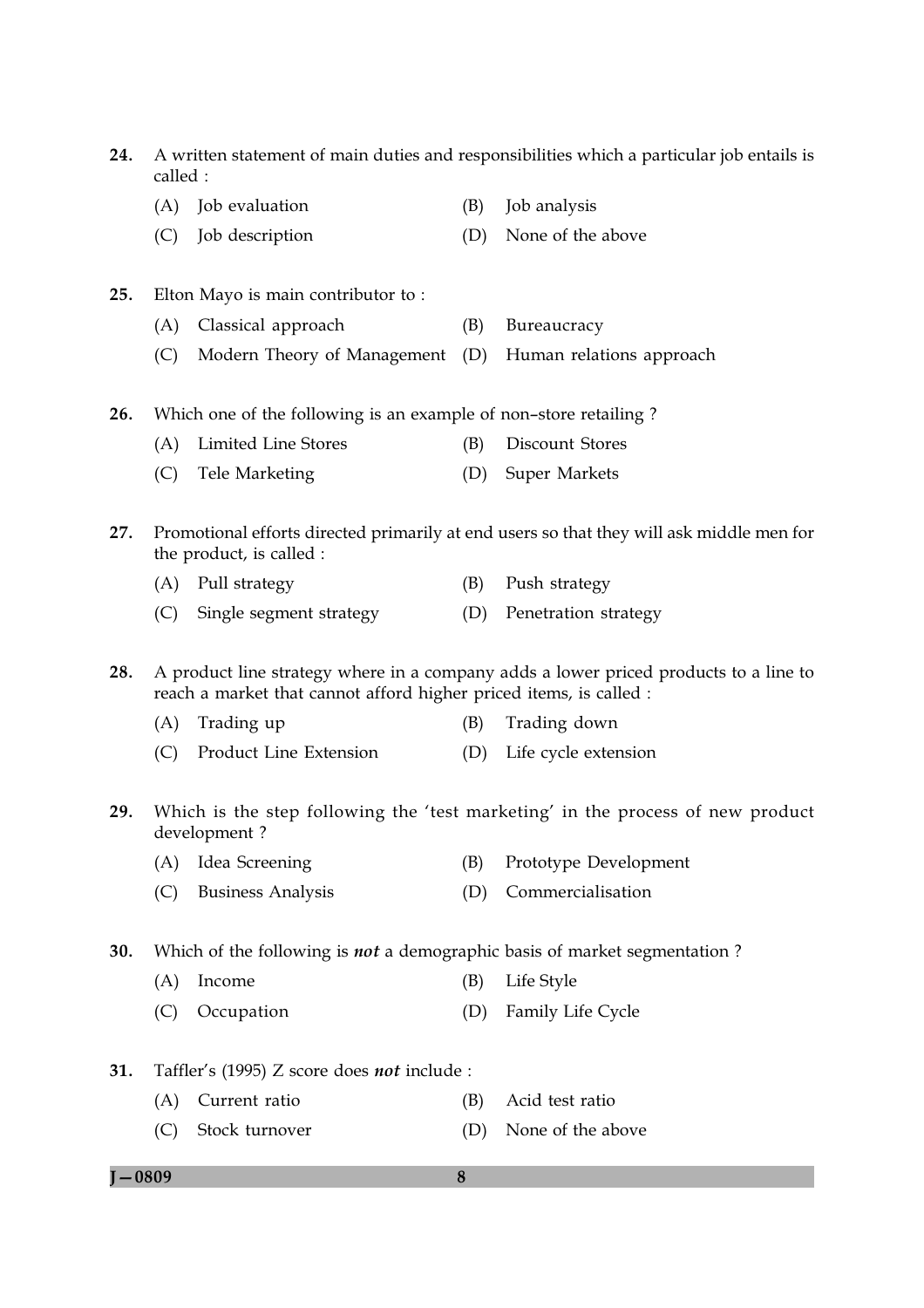24. A written statement of main duties and responsibilities which a particular job entails is called : (A) Job evaluation (B) Job analysis (C) Job description (D) None of the above 25. Elton Mayo is main contributor to: (A) Classical approach (B) Bureaucracy (C) Modern Theory of Management (D) Human relations approach  $26.$ Which one of the following is an example of non-store retailing? (A) Limited Line Stores (B) Discount Stores (C) Tele Marketing (D) Super Markets 27. Promotional efforts directed primarily at end users so that they will ask middle men for the product, is called : (A) Pull strategy (B) Push strategy (C) Single segment strategy (D) Penetration strategy 28. A product line strategy where in a company adds a lower priced products to a line to reach a market that cannot afford higher priced items, is called :  $(A)$  Trading up (B) Trading down (C) Product Line Extension (D) Life cycle extension 29. Which is the step following the 'test marketing' in the process of new product development? (A) Idea Screening (B) Prototype Development (D) Commercialisation (C) Business Analysis 30. Which of the following is *not* a demographic basis of market segmentation? (A) Income (B) Life Style (D) Family Life Cycle (C) Occupation 31. Taffler's (1995) Z score does not include : (B) Acid test ratio (A) Current ratio

(D) None of the above (C) Stock turnover

### $I - 0809$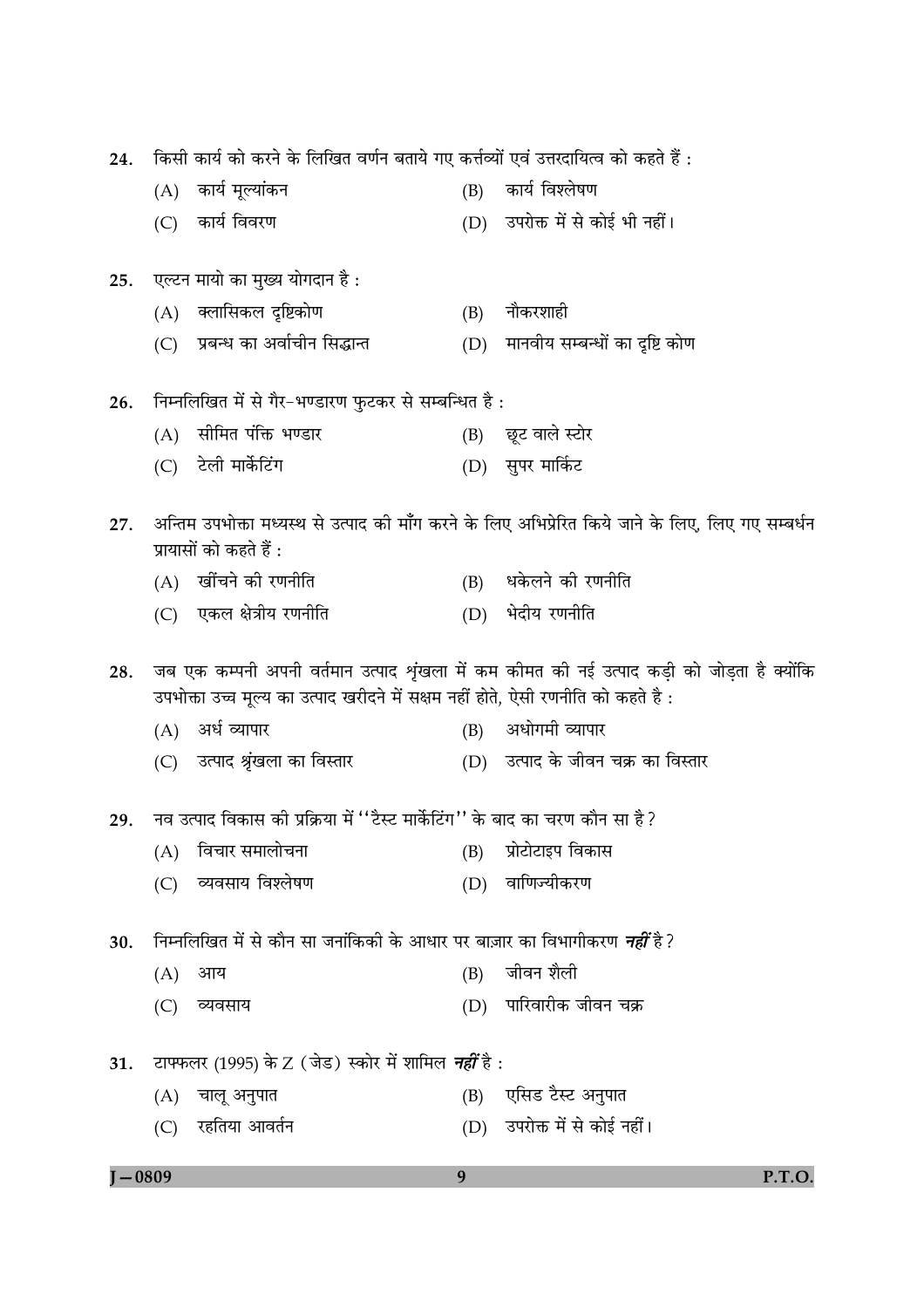| 24. | किसी कार्य को करने के लिखित वर्णन बताये गए कर्त्तव्यों एवं उत्तरदायित्व को कहते हैं : |                                                                                  |     |                                                                                                    |  |  |  |
|-----|---------------------------------------------------------------------------------------|----------------------------------------------------------------------------------|-----|----------------------------------------------------------------------------------------------------|--|--|--|
|     |                                                                                       | (A) कार्य मूल्यांकन                                                              | (B) | कार्य विश्लेषण                                                                                     |  |  |  |
|     | (C)                                                                                   | कार्य विवरण                                                                      |     | (D) उपरोक्त में से कोई भी नहीं।                                                                    |  |  |  |
| 25. |                                                                                       | एल्टन मायो का मुख्य योगदान है :                                                  |     |                                                                                                    |  |  |  |
|     |                                                                                       | (A) क्लासिकल दृष्टिकोण                                                           | (B) | नौकरशाही                                                                                           |  |  |  |
|     |                                                                                       | (C) प्रबन्ध का अर्वाचीन सिद्धान्त                                                | (D) | मानवीय सम्बन्धों का दृष्टि कोण                                                                     |  |  |  |
| 26. |                                                                                       | निम्नलिखित में से गैर-भण्डारण फुटकर से सम्बन्धित है :                            |     |                                                                                                    |  |  |  |
|     | (A)                                                                                   | सीमित पंक्ति भण्डार                                                              |     | (B) छूट वाले स्टोर                                                                                 |  |  |  |
|     | (C)                                                                                   | टेली मार्केटिंग                                                                  |     | (D) सुपर मार्किट                                                                                   |  |  |  |
| 27. |                                                                                       | प्रायासों को कहते हैं :                                                          |     | अन्तिम उपभोक्ता मध्यस्थ से उत्पाद की माँग करने के लिए अभिप्रेरित किये जाने के लिए, लिए गए सम्बर्धन |  |  |  |
|     |                                                                                       | (A) खींचने की रणनीति                                                             |     | (B) धकेलने की रणनीति                                                                               |  |  |  |
|     |                                                                                       | (C) एकल क्षेत्रीय रणनीति                                                         | (D) | भेदीय रणनीति                                                                                       |  |  |  |
|     |                                                                                       |                                                                                  |     |                                                                                                    |  |  |  |
| 28. |                                                                                       | उपभोक्ता उच्च मूल्य का उत्पाद खरीदने में सक्षम नहीं होते, ऐसी रणनीति को कहते है: |     | जब एक कम्पनी अपनी वर्तमान उत्पाद शृंखला में कम कीमत की नई उत्पाद कड़ी को जोड़ता है क्योंकि         |  |  |  |
|     |                                                                                       | (A) अर्ध व्यापार                                                                 | (B) | अधोगमी व्यापार                                                                                     |  |  |  |
|     |                                                                                       | (C) उत्पाद श्रृंखला का विस्तार                                                   |     | (D) उत्पाद के जीवन चक्र का विस्तार                                                                 |  |  |  |
| 29. |                                                                                       | नव उत्पाद विकास की प्रक्रिया में ''टैस्ट मार्केटिंग'' के बाद का चरण कौन सा है ?  |     |                                                                                                    |  |  |  |
|     | (A)                                                                                   | विचार समालोचना                                                                   | (B) | प्रोटोटाइप विकास                                                                                   |  |  |  |
|     | (C)                                                                                   | व्यवसाय विश्लेषण                                                                 | (D) | वाणिज्यीकरण                                                                                        |  |  |  |
| 30. |                                                                                       | निम्नलिखित में से कौन सा जनांकिकी के आधार पर बाज़ार का विभागीकरण <i>नहीं</i> है? |     |                                                                                                    |  |  |  |
|     | (A)                                                                                   | आय                                                                               | (B) | जीवन शैली                                                                                          |  |  |  |
|     | (C)                                                                                   | व्यवसाय                                                                          | (D) | पारिवारीक जीवन चक्र                                                                                |  |  |  |
| 31. |                                                                                       | टाफ्फलर (1995) के Z (जेड) स्कोर में शामिल <i>नहीं</i> है :                       |     |                                                                                                    |  |  |  |
|     | (A)                                                                                   | चालू अनुपात                                                                      | (B) | एसिड टैस्ट अनुपात                                                                                  |  |  |  |

 $\sim$   $\sim$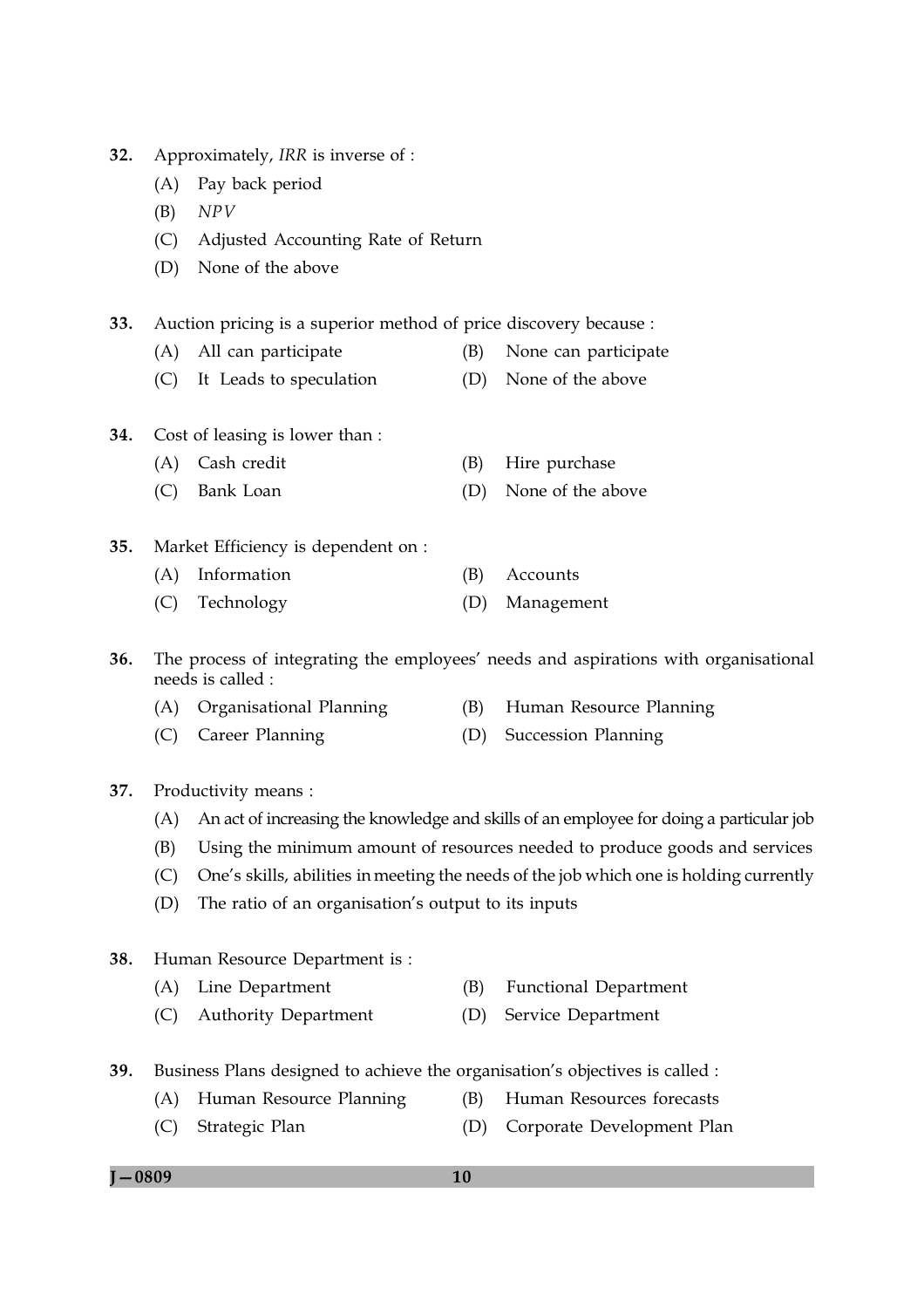$I - 0809$ 

 $(C)$ 

38.

**39.** 

Business Plans designed to achieve the organisation's objectives is called :

(D) Corporate Development Plan

 $(B)$ 

- 10
- $(B)$ **Functional Department**

Human Resources forecasts

- 
- (A) Line Department (C) Authority Department (D) Service Department
- 
- 

37. Productivity means :

- (B)
- One's skills, abilities in meeting the needs of the job which one is holding currently
- $(D)$ The ratio of an organisation's output to its inputs
- 
- (A) An act of increasing the knowledge and skills of an employee for doing a particular job
	- Using the minimum amount of resources needed to produce goods and services
	-
	-
	- $(C)$
	-
- 
- 
- 
- 

(A) Organisational Planning

Human Resource Department is:

(A) Human Resource Planning

Strategic Plan

(C) Career Planning

Cost of leasing is lower than :

(A) Cash credit

(A) Information

needs is called :

- 35.
- 
- 
- -
	- Market Efficiency is dependent on :
	-
- 
- -
- $(C)$
- Bank Loan (D) None of the above
	- -
- 

(B) Hire purchase

- 
- 
- 
- 
- (B) Accounts
- 
- Technology  $(C)$ (D) Management
- The process of integrating the employees' needs and aspirations with organisational
- 36.
- 
- - -
		- - - (B) Human Resource Planning (D) Succession Planning
			-
- $32.$ Approximately, IRR is inverse of :
	- (A) Pay back period
	- $NPV$ (B)

 $33.$ 

34.

- (C) Adjusted Accounting Rate of Return
- (D) None of the above

- Auction pricing is a superior method of price discovery because :
	-
- (A) All can participate
	- - (B) None can participate
- -
	-
- (C) It Leads to speculation (D) None of the above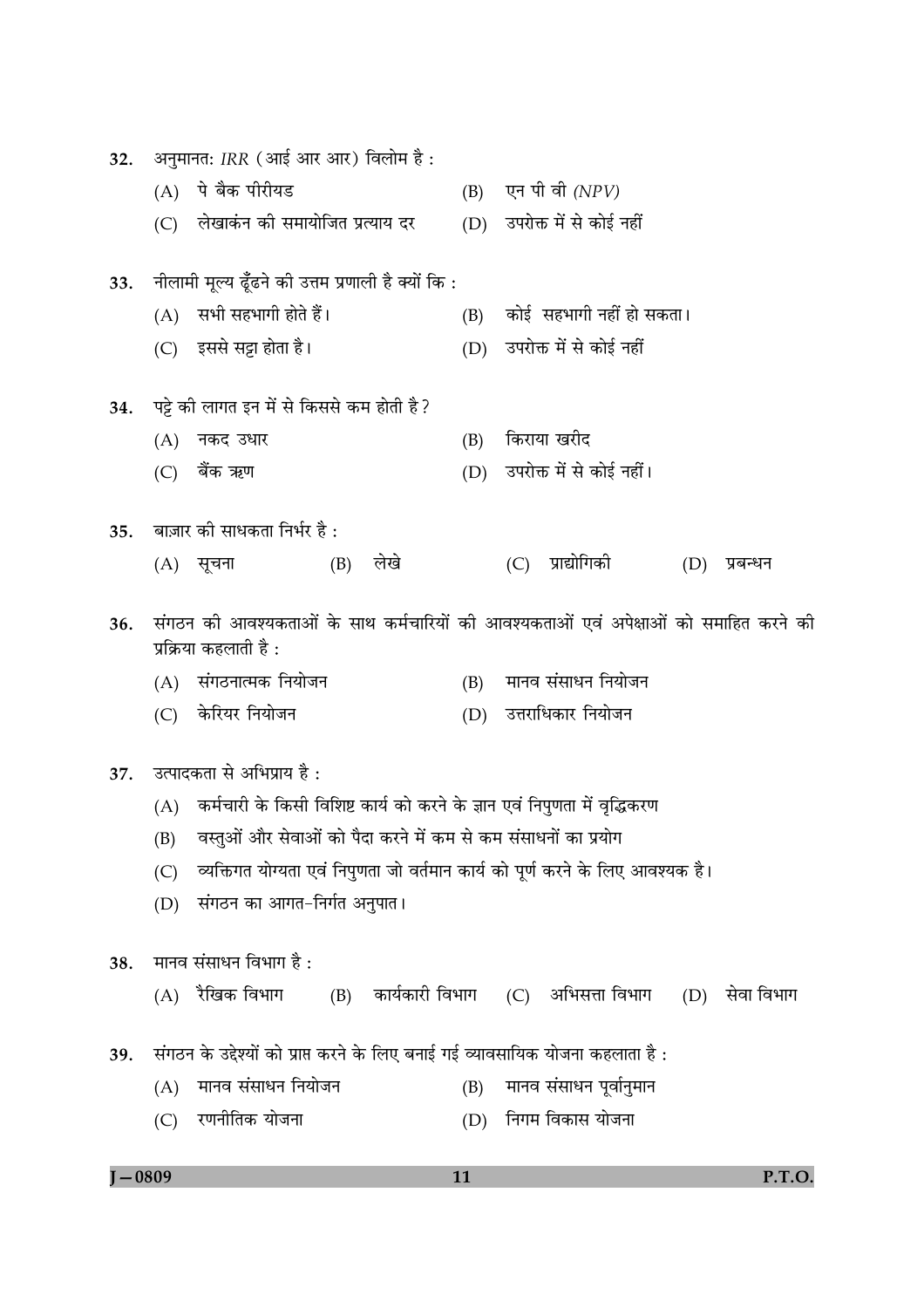| अनुमानत: IRR (आई आर आर) विलोम है :<br>32. |     |                                                                                  |     |                                                                                      |  |  |
|-------------------------------------------|-----|----------------------------------------------------------------------------------|-----|--------------------------------------------------------------------------------------|--|--|
|                                           | (A) | पे बैक पीरीयड                                                                    |     | $(B)$ एन पी वी $(NPV)$                                                               |  |  |
|                                           |     | (C) लेखाकंन को समायोजित प्रत्याय दर                                              |     | (D) उपरोक्त में से कोई नहीं                                                          |  |  |
| 33.                                       |     | नीलामी मूल्य ढूँढने की उत्तम प्रणाली है क्यों कि :                               |     |                                                                                      |  |  |
|                                           |     | (A) सभी सहभागी होते हैं।                                                         |     | (B) कोई सहभागी नहीं हो सकता।                                                         |  |  |
|                                           |     | (C) इससे सट्टा होता है।                                                          | (D) | उपरोक्त में से कोई नहीं                                                              |  |  |
| 34.                                       |     | पट्टे की लागत इन में से किससे कम होती है ?                                       |     |                                                                                      |  |  |
|                                           |     | (A) नकद उधार                                                                     | (B) | किराया खरीद                                                                          |  |  |
|                                           |     | (C) बैंक ऋण                                                                      | (D) | उपरोक्त में से कोई नहीं।                                                             |  |  |
| 35.                                       |     | बाज़ार की साधकता निर्भर है :                                                     |     |                                                                                      |  |  |
|                                           |     | लेखे<br>(B)<br>(A) सूचना                                                         |     | प्राद्योगिकी<br>(C)<br>(D)<br>प्रबन्धन                                               |  |  |
| 36.                                       |     | प्रक्रिया कहलाती है :                                                            |     | संगठन की आवश्यकताओं के साथ कर्मचारियों की आवश्यकताओं एवं अपेक्षाओं को समाहित करने की |  |  |
|                                           |     | (A) संगठनात्मक नियोजन                                                            |     | (B) मानव संसाधन नियोजन                                                               |  |  |
|                                           |     | (C) केरियर नियोजन                                                                | (D) | उत्तराधिकार नियोजन                                                                   |  |  |
| 37.                                       |     | उत्पादकता से अभिप्राय है :                                                       |     |                                                                                      |  |  |
|                                           |     | (A)    कर्मचारी के किसी विशिष्ट कार्य को करने के ज्ञान एवं निपुणता में वृद्धिकरण |     |                                                                                      |  |  |
|                                           |     | (B) वस्तुओं और सेवाओं को पैदा करने में कम से कम संसाधनों का प्रयोग               |     |                                                                                      |  |  |
|                                           | (C) | व्यक्तिगत योग्यता एवं निपुणता जो वर्तमान कार्य को पूर्ण करने के लिए आवश्यक है।   |     |                                                                                      |  |  |
|                                           | (D) | संगठन का आगत–निर्गत अनुपात।                                                      |     |                                                                                      |  |  |
| 38.                                       |     | मानव संसाधन विभाग है :                                                           |     |                                                                                      |  |  |
|                                           | (A) | रैखिक विभाग<br>(B)                                                               |     | कार्यकारी विभाग    (C)   अभिसत्ता विभाग<br>सेवा विभाग<br>(D)                         |  |  |
| 39.                                       |     | संगठन के उद्देश्यों को प्राप्त करने के लिए बनाई गई व्यावसायिक योजना कहलाता है :  |     |                                                                                      |  |  |
|                                           | (A) | मानव संसाधन नियोजन                                                               | (B) | मानव संसाधन पूर्वानुमान                                                              |  |  |
|                                           | (C) | रणनीतिक योजना                                                                    | (D) | निगम विकास योजना                                                                     |  |  |

```
J - 0809
```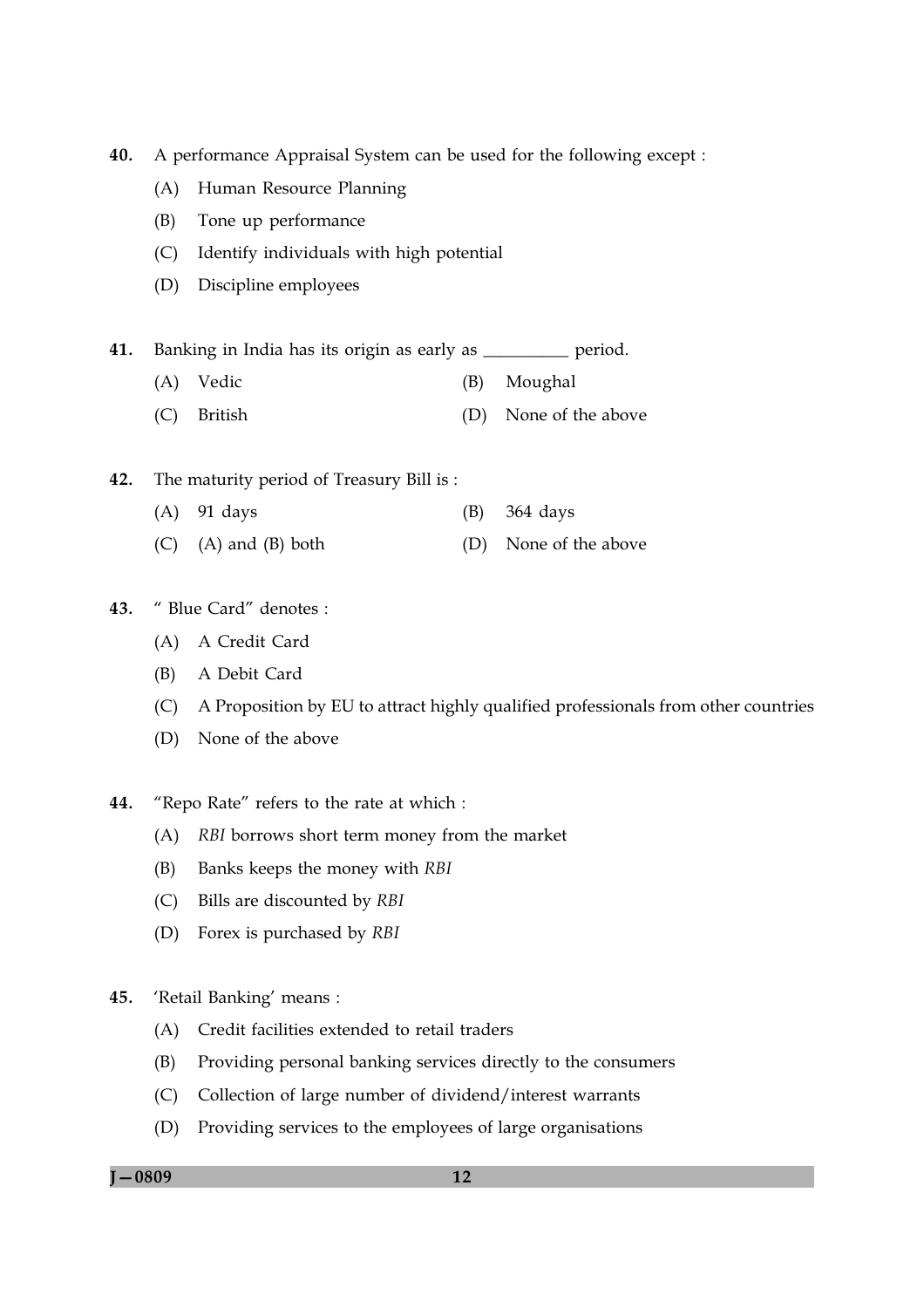40. A performance Appraisal System can be used for the following except :

- (A) Human Resource Planning
- $(B)$ Tone up performance
- $(C)$ Identify individuals with high potential
- (D) Discipline employees
- 41. Banking in India has its origin as early as period.
	- (A) Vedic (B) Moughal
	- (C) British (D) None of the above
- 42. The maturity period of Treasury Bill is:
	- $(A)$  91 days (B) 364 days
	- $(A)$  and  $(B)$  both  $(C)$ (D) None of the above

#### $43.$ " Blue Card" denotes :

- (A) A Credit Card
- (B) A Debit Card
- (C) A Proposition by EU to attract highly qualified professionals from other countries
- (D) None of the above
- 44. "Repo Rate" refers to the rate at which :
	- (A) RBI borrows short term money from the market
	- (B) Banks keeps the money with RBI
	- Bills are discounted by RBI  $(C)$
	- (D) Forex is purchased by RBI
- 45. 'Retail Banking' means :
	- (A) Credit facilities extended to retail traders
	- Providing personal banking services directly to the consumers (B)
	- (C) Collection of large number of dividend/interest warrants
	- (D) Providing services to the employees of large organisations

 $I - 0809$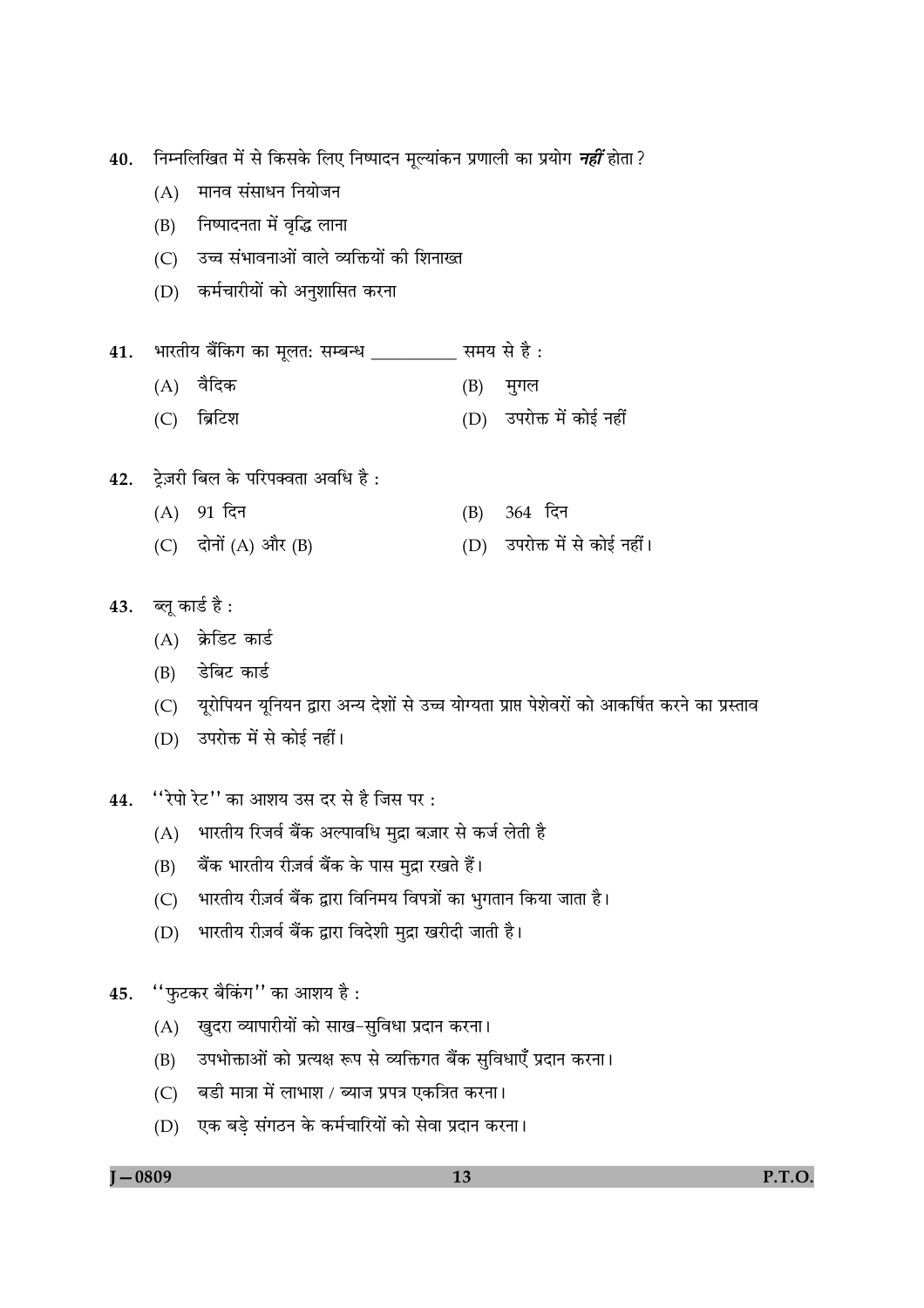ंनिम्नलिखित में से किसके लिए निष्पादन मूल्यांकन प्रणाली का प्रयोग *नहीं* होता ? 40.

- (A) मानव संसाधन नियोजन
- (B) निष्पादनता में वृद्धि लाना
- (C) उच्च संभावनाओं वाले व्यक्तियों की शिनाख्त
- (D) कर्मचारीयों को अनुशासित करना
- भारतीय बैंकिंग का मूलत: सम्बन्ध \_\_\_\_\_\_\_\_\_ समय से है : 41.
	- $(A)$  वैदिक (B) मुगल
	- (C) ब्रिटिश (D) उपरोक्त में कोई नहीं
- ट्रेज़री बिल के परिपक्वता अवधि है: 42.
	- (B) 364 दिन (A) 91 दिन (C) दोनों  $(A)$  और  $(B)$ (D) उपरोक्त में से कोई नहीं।
- 43. ब्लू कार्ड है:
	- (A) क्रेडिट कार्ड
	- (B) डेबिट कार्ड
	- (C) यरोपियन यनियन द्वारा अन्य देशों से उच्च योग्यता प्राप्त पेशेवरों को आकर्षित करने का प्रस्ताव
	- (D) उपरोक्त में से कोई नहीं।
- "रेपो रेट" का आशय उस दर से है जिस पर: 44.
	- भारतीय रिजर्व बैंक अल्पावधि मुद्रा बज़ार से कर्ज लेती है  $(A)$
	- बैंक भारतीय रीज़र्व बैंक के पास मुद्रा रखते हैं।  $(B)$
	- भारतीय रीज़र्व बैंक द्वारा विनिमय विपत्रों का भुगतान किया जाता है।  $(C)$
	- भारतीय रीज़र्व बैंक द्वारा विदेशी मुद्रा खरीदी जाती है।  $(D)$
- "फुटकर बैकिंग" का आशय है: 45.
	- (A) खुदरा व्यापारीयों को साख-सुविधा प्रदान करना।
	- उपभोक्ताओं को प्रत्यक्ष रूप से व्यक्तिगत बैंक सुविधाएँ प्रदान करना।  $(B)$
	- (C) बडी मात्रा में लाभाश / ब्याज प्रपत्र एकत्रित करना।
	- (D) एक बड़े संगठन के कर्मचारियों को सेवा प्रदान करना।

 $J - 0809$ 

P.T.O.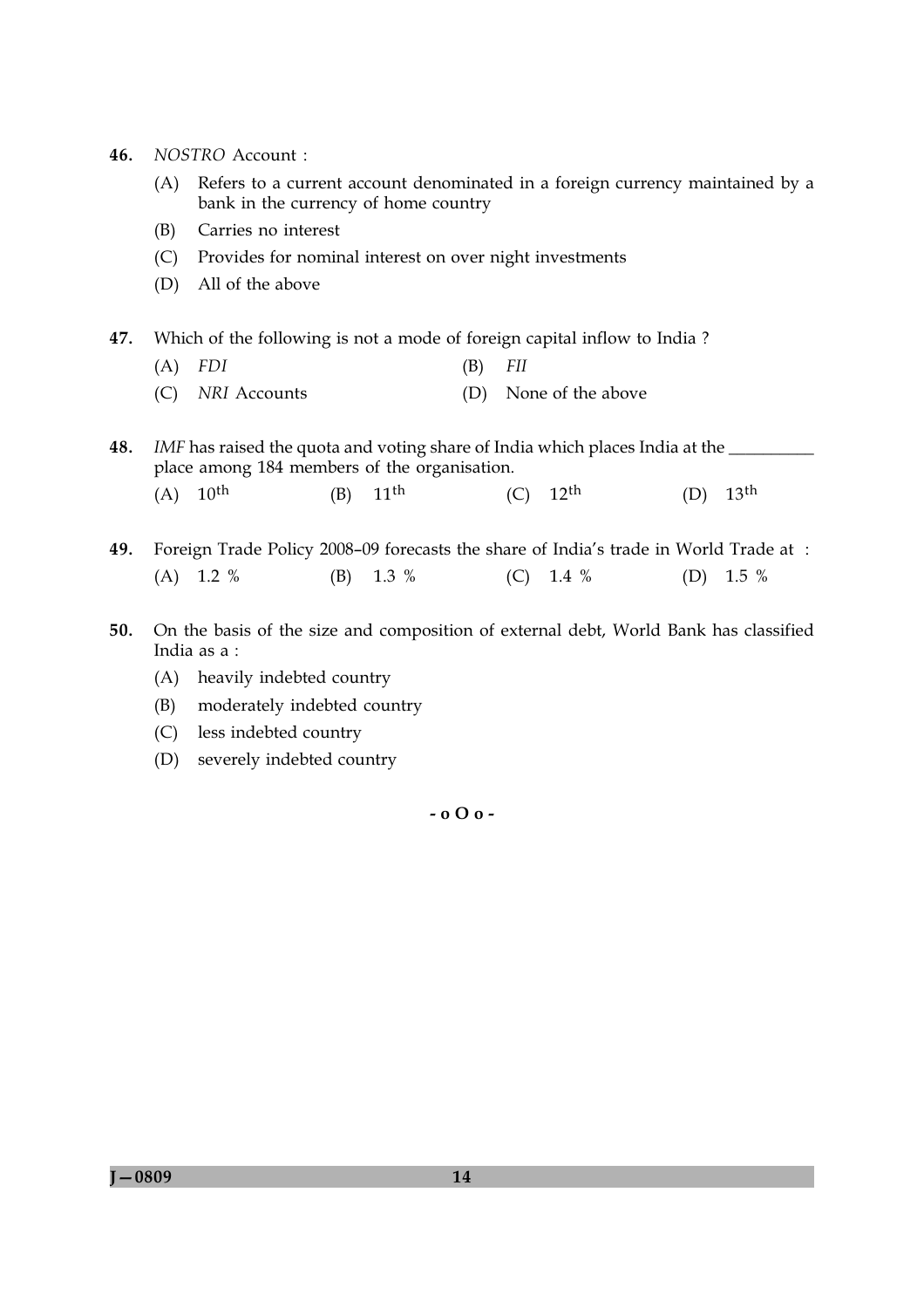- 46. NOSTRO Account:
	- (A) Refers to a current account denominated in a foreign currency maintained by a bank in the currency of home country
	- (B) Carries no interest
	- (C) Provides for nominal interest on over night investments
	- (D) All of the above
- 47. Which of the following is not a mode of foreign capital inflow to India?
	- $(A)$  FDI  $(B)$  $FII$
	- (D) None of the above (C) NRI Accounts

48. IMF has raised the quota and voting share of India which places India at the \_\_ place among 184 members of the organisation.

- $(A) 10^{th}$  $(B)$  11<sup>th</sup>  $(D)$  13<sup>th</sup>  $(C)$  12<sup>th</sup>
- 49. Foreign Trade Policy 2008-09 forecasts the share of India's trade in World Trade at:  $(A)$  1.2 %  $1.3\%$  $(C)$  1.4 % (D)  $1.5\%$  $(B)$
- 50. On the basis of the size and composition of external debt, World Bank has classified India as a:
	- (A) heavily indebted country
	- (B) moderately indebted country
	- (C) less indebted country
	- (D) severely indebted country

 $-0.00 -$ 

 $J - 0809$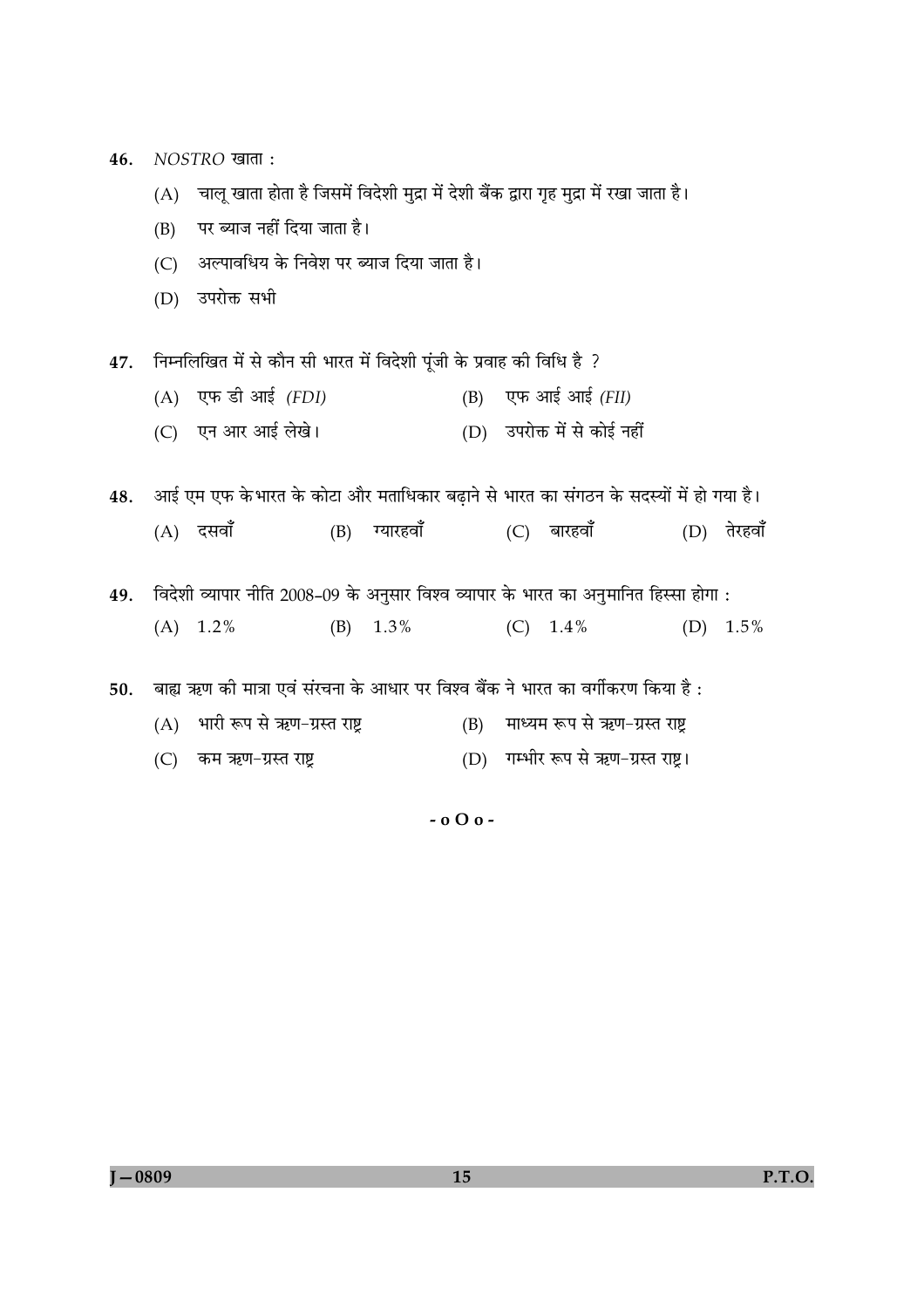NOSTRO खाता : 46.

- (A) चालू खाता होता है जिसमें विदेशी मुद्रा में देशी बैंक द्वारा गृह मुद्रा में रखा जाता है।
- $(B)$ पर ब्याज नहीं दिया जाता है।
- (C) अल्पावधिय के निवेश पर ब्याज दिया जाता है।
- (D) उपरोक्त सभी

47. निम्नलिखित में से कौन सी भारत में विदेशी पूंजी के प्रवाह की विधि है ?

- $(A)$  एफ डी आई (FDI) (B) एफ आई आई  $(FII)$
- (C) एन आर आई लेखे। (D) उपरोक्त में से कोई नहीं

48. आई एम एफ के भारत के कोटा और मताधिकार बढाने से भारत का संगठन के सदस्यों में हो गया है।

(B) ग्यारहवाँ (C) बारहवाँ  $(D)$  तेरहवाँ  $(A)$  दसवाँ

49. विदेशी व्यापार नीति 2008-09 के अनुसार विश्व व्यापार के भारत का अनुमानित हिस्सा होगा :  $(B)$  1.3% (D)  $1.5\%$  $(A)$  1.2%  $(C)$  1.4%

50. बाह्य ऋण की मात्रा एवं संरचना के आधार पर विश्व बैंक ने भारत का वर्गीकरण किया है:

- (A) भारी रूप से ऋण-ग्रस्त राष्ट्र (B) माध्यम रूप से ऋण-ग्रस्त राष्ट्र
- (C) कम ऋण-ग्रस्त राष्ट्र (D) गम्भीर रूप से ऋण-ग्रस्त राष्ट्र।

 $-000-$